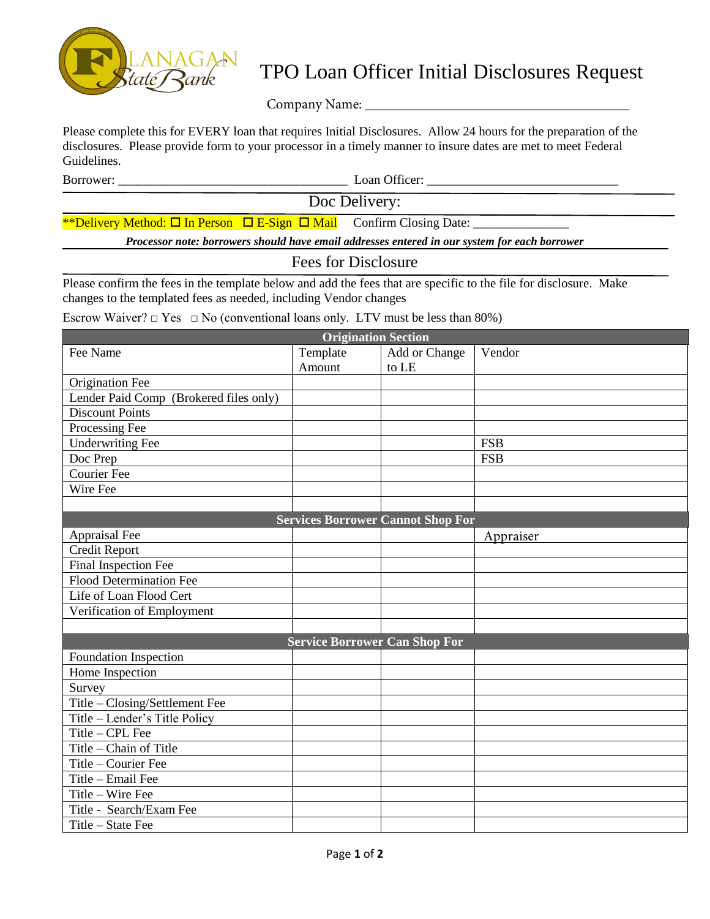

## TPO Loan Officer Initial Disclosures Request

Company Name: \_\_\_\_\_\_\_\_\_\_\_\_\_\_\_\_\_\_\_\_\_\_\_\_\_\_\_\_\_\_\_\_\_\_\_\_\_\_

Please complete this for EVERY loan that requires Initial Disclosures. Allow 24 hours for the preparation of the disclosures. Please provide form to your processor in a timely manner to insure dates are met to meet Federal Guidelines.

Borrower: \_\_\_\_\_\_\_\_\_\_\_\_\_\_\_\_\_\_\_\_\_\_\_\_\_\_\_\_\_\_\_\_\_\_\_\_ Loan Officer: \_\_\_\_\_\_\_\_\_\_\_\_\_\_\_\_\_\_\_\_\_\_\_\_\_\_\_\_\_\_

Doc Delivery:

\*\*Delivery Method:  $\Box$  In Person  $\Box$  E-Sign  $\Box$  Mail Confirm Closing Date:

*Processor note: borrowers should have email addresses entered in our system for each borrower*

## Fees for Disclosure

Please confirm the fees in the template below and add the fees that are specific to the file for disclosure. Make changes to the templated fees as needed, including Vendor changes

Escrow Waiver?  $\Box$  Yes  $\Box$  No (conventional loans only. LTV must be less than 80%)

| <b>Origination Section</b>               |          |               |            |  |
|------------------------------------------|----------|---------------|------------|--|
| Fee Name                                 | Template | Add or Change | Vendor     |  |
|                                          | Amount   | to LE         |            |  |
| Origination Fee                          |          |               |            |  |
| Lender Paid Comp (Brokered files only)   |          |               |            |  |
| <b>Discount Points</b>                   |          |               |            |  |
| Processing Fee                           |          |               |            |  |
| <b>Underwriting Fee</b>                  |          |               | <b>FSB</b> |  |
| Doc Prep                                 |          |               | <b>FSB</b> |  |
| <b>Courier Fee</b>                       |          |               |            |  |
| Wire Fee                                 |          |               |            |  |
|                                          |          |               |            |  |
| <b>Services Borrower Cannot Shop For</b> |          |               |            |  |
| Appraisal Fee                            |          |               | Appraiser  |  |
| Credit Report                            |          |               |            |  |
| Final Inspection Fee                     |          |               |            |  |
| <b>Flood Determination Fee</b>           |          |               |            |  |
| Life of Loan Flood Cert                  |          |               |            |  |
| Verification of Employment               |          |               |            |  |
|                                          |          |               |            |  |
| <b>Service Borrower Can Shop For</b>     |          |               |            |  |
| Foundation Inspection                    |          |               |            |  |
| Home Inspection                          |          |               |            |  |
| Survey                                   |          |               |            |  |
| Title - Closing/Settlement Fee           |          |               |            |  |
| Title - Lender's Title Policy            |          |               |            |  |
| Title $-$ CPL Fee                        |          |               |            |  |
| Title – Chain of Title                   |          |               |            |  |
| Title - Courier Fee                      |          |               |            |  |
| Title - Email Fee                        |          |               |            |  |
| Title - Wire Fee                         |          |               |            |  |
| Title - Search/Exam Fee                  |          |               |            |  |
| Title - State Fee                        |          |               |            |  |